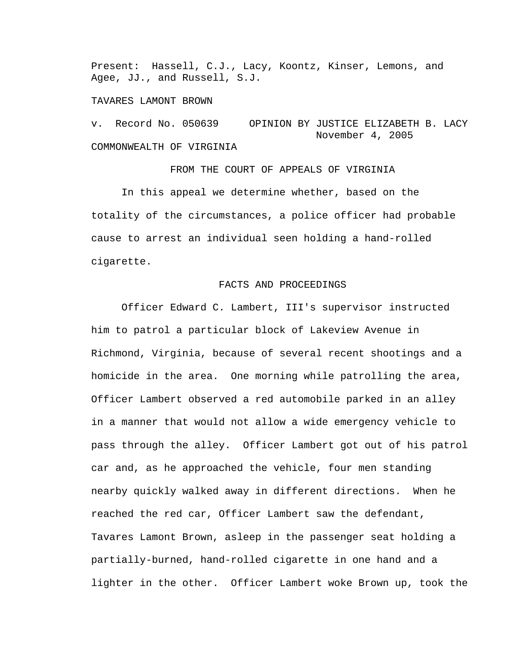Present: Hassell, C.J., Lacy, Koontz, Kinser, Lemons, and Agee, JJ., and Russell, S.J.

#### TAVARES LAMONT BROWN

v. Record No. 050639 OPINION BY JUSTICE ELIZABETH B. LACY November 4, 2005 COMMONWEALTH OF VIRGINIA

FROM THE COURT OF APPEALS OF VIRGINIA In this appeal we determine whether, based on the totality of the circumstances, a police officer had probable cause to arrest an individual seen holding a hand-rolled cigarette.

# FACTS AND PROCEEDINGS

 Officer Edward C. Lambert, III's supervisor instructed him to patrol a particular block of Lakeview Avenue in Richmond, Virginia, because of several recent shootings and a homicide in the area. One morning while patrolling the area, Officer Lambert observed a red automobile parked in an alley in a manner that would not allow a wide emergency vehicle to pass through the alley. Officer Lambert got out of his patrol car and, as he approached the vehicle, four men standing nearby quickly walked away in different directions. When he reached the red car, Officer Lambert saw the defendant, Tavares Lamont Brown, asleep in the passenger seat holding a partially-burned, hand-rolled cigarette in one hand and a lighter in the other. Officer Lambert woke Brown up, took the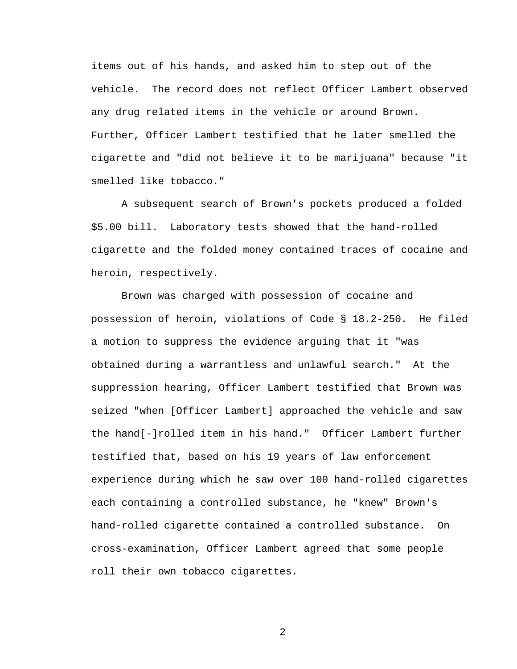items out of his hands, and asked him to step out of the vehicle. The record does not reflect Officer Lambert observed any drug related items in the vehicle or around Brown. Further, Officer Lambert testified that he later smelled the cigarette and "did not believe it to be marijuana" because "it smelled like tobacco."

A subsequent search of Brown's pockets produced a folded \$5.00 bill. Laboratory tests showed that the hand-rolled cigarette and the folded money contained traces of cocaine and heroin, respectively.

 Brown was charged with possession of cocaine and possession of heroin, violations of Code § 18.2-250. He filed a motion to suppress the evidence arguing that it "was obtained during a warrantless and unlawful search." At the suppression hearing, Officer Lambert testified that Brown was seized "when [Officer Lambert] approached the vehicle and saw the hand[-]rolled item in his hand." Officer Lambert further testified that, based on his 19 years of law enforcement experience during which he saw over 100 hand-rolled cigarettes each containing a controlled substance, he "knew" Brown's hand-rolled cigarette contained a controlled substance. On cross-examination, Officer Lambert agreed that some people roll their own tobacco cigarettes.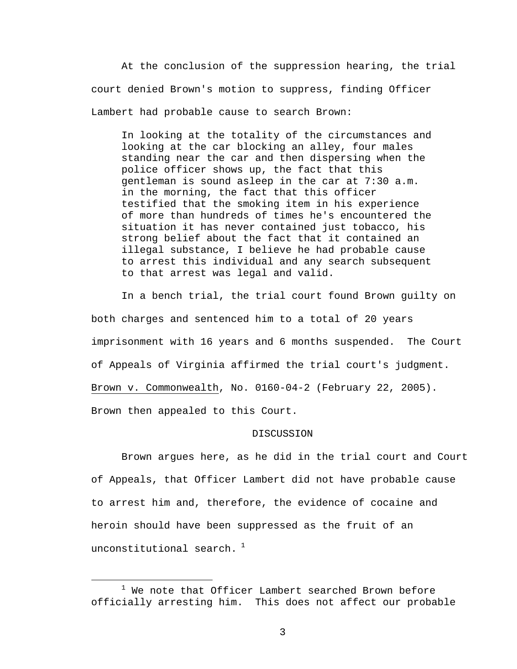At the conclusion of the suppression hearing, the trial court denied Brown's motion to suppress, finding Officer Lambert had probable cause to search Brown:

In looking at the totality of the circumstances and looking at the car blocking an alley, four males standing near the car and then dispersing when the police officer shows up, the fact that this gentleman is sound asleep in the car at 7:30 a.m. in the morning, the fact that this officer testified that the smoking item in his experience of more than hundreds of times he's encountered the situation it has never contained just tobacco, his strong belief about the fact that it contained an illegal substance, I believe he had probable cause to arrest this individual and any search subsequent to that arrest was legal and valid.

In a bench trial, the trial court found Brown guilty on both charges and sentenced him to a total of 20 years imprisonment with 16 years and 6 months suspended. The Court of Appeals of Virginia affirmed the trial court's judgment. Brown v. Commonwealth, No. 0160-04-2 (February 22, 2005). Brown then appealed to this Court.

#### DISCUSSION

Brown argues here, as he did in the trial court and Court of Appeals, that Officer Lambert did not have probable cause to arrest him and, therefore, the evidence of cocaine and heroin should have been suppressed as the fruit of an unconstitutional search.  $1$ 

 $\overline{\phantom{a}}$  $1$  We note that Officer Lambert searched Brown before officially arresting him. This does not affect our probable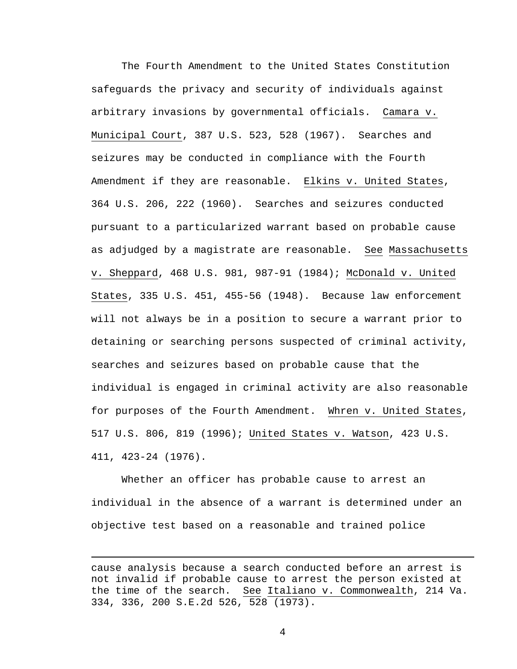The Fourth Amendment to the United States Constitution safeguards the privacy and security of individuals against arbitrary invasions by governmental officials. Camara v. Municipal Court, 387 U.S. 523, 528 (1967). Searches and seizures may be conducted in compliance with the Fourth Amendment if they are reasonable. Elkins v. United States, 364 U.S. 206, 222 (1960). Searches and seizures conducted pursuant to a particularized warrant based on probable cause as adjudged by a magistrate are reasonable. See Massachusetts v. Sheppard, 468 U.S. 981, 987-91 (1984); McDonald v. United States, 335 U.S. 451, 455-56 (1948). Because law enforcement will not always be in a position to secure a warrant prior to detaining or searching persons suspected of criminal activity, searches and seizures based on probable cause that the individual is engaged in criminal activity are also reasonable for purposes of the Fourth Amendment. Whren v. United States, 517 U.S. 806, 819 (1996); United States v. Watson, 423 U.S. 411, 423-24 (1976).

Whether an officer has probable cause to arrest an individual in the absence of a warrant is determined under an objective test based on a reasonable and trained police

i

cause analysis because a search conducted before an arrest is not invalid if probable cause to arrest the person existed at the time of the search. See Italiano v. Commonwealth, 214 Va. 334, 336, 200 S.E.2d 526, 528 (1973).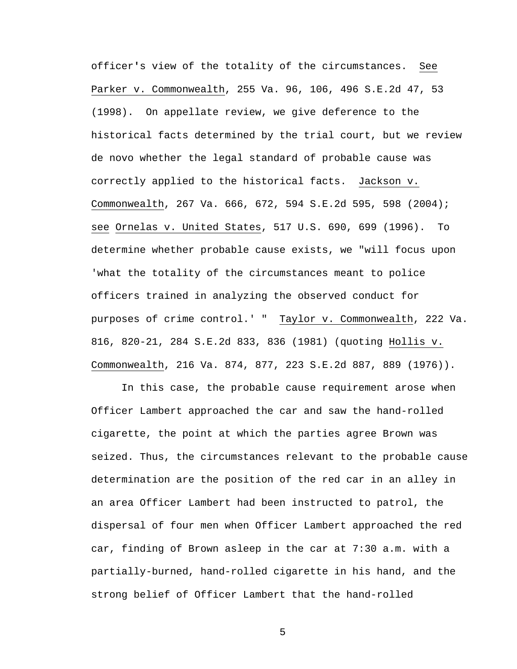officer**'**s view of the totality of the circumstances. See Parker v. Commonwealth, 255 Va. 96, 106, 496 S.E.2d 47, 53 (1998). On appellate review, we give deference to the historical facts determined by the trial court, but we review de novo whether the legal standard of probable cause was correctly applied to the historical facts. Jackson v. Commonwealth, 267 Va. 666, 672, 594 S.E.2d 595, 598 (2004); see Ornelas v. United States, 517 U.S. 690, 699 (1996). To determine whether probable cause exists, we "will focus upon 'what the totality of the circumstances meant to police officers trained in analyzing the observed conduct for purposes of crime control.' " Taylor v. Commonwealth, 222 Va. 816, 820-21, 284 S.E.2d 833, 836 (1981) (quoting Hollis v. Commonwealth, 216 Va. 874, 877, 223 S.E.2d 887, 889 (1976)).

 In this case, the probable cause requirement arose when Officer Lambert approached the car and saw the hand-rolled cigarette, the point at which the parties agree Brown was seized. Thus, the circumstances relevant to the probable cause determination are the position of the red car in an alley in an area Officer Lambert had been instructed to patrol, the dispersal of four men when Officer Lambert approached the red car, finding of Brown asleep in the car at 7:30 a.m. with a partially-burned, hand-rolled cigarette in his hand, and the strong belief of Officer Lambert that the hand-rolled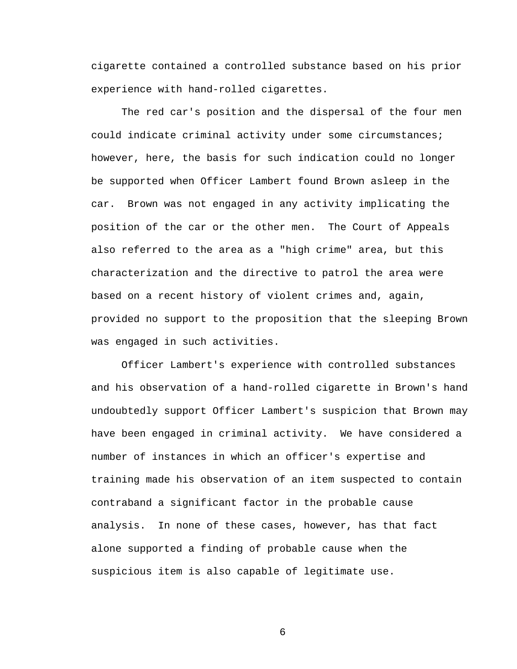cigarette contained a controlled substance based on his prior experience with hand-rolled cigarettes.

The red car's position and the dispersal of the four men could indicate criminal activity under some circumstances; however, here, the basis for such indication could no longer be supported when Officer Lambert found Brown asleep in the car. Brown was not engaged in any activity implicating the position of the car or the other men. The Court of Appeals also referred to the area as a "high crime" area, but this characterization and the directive to patrol the area were based on a recent history of violent crimes and, again, provided no support to the proposition that the sleeping Brown was engaged in such activities.

Officer Lambert's experience with controlled substances and his observation of a hand-rolled cigarette in Brown's hand undoubtedly support Officer Lambert's suspicion that Brown may have been engaged in criminal activity. We have considered a number of instances in which an officer's expertise and training made his observation of an item suspected to contain contraband a significant factor in the probable cause analysis. In none of these cases, however, has that fact alone supported a finding of probable cause when the suspicious item is also capable of legitimate use.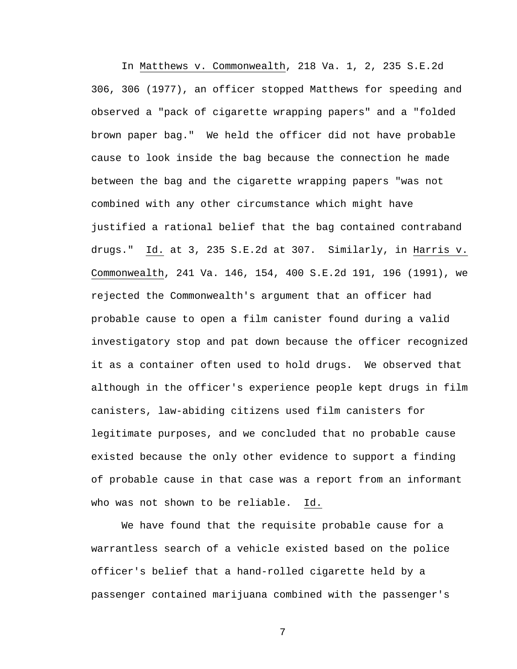In Matthews v. Commonwealth, 218 Va. 1, 2, 235 S.E.2d 306, 306 (1977), an officer stopped Matthews for speeding and observed a "pack of cigarette wrapping papers" and a "folded brown paper bag." We held the officer did not have probable cause to look inside the bag because the connection he made between the bag and the cigarette wrapping papers "was not combined with any other circumstance which might have justified a rational belief that the bag contained contraband drugs." Id. at 3, 235 S.E.2d at 307. Similarly, in Harris v. Commonwealth, 241 Va. 146, 154, 400 S.E.2d 191, 196 (1991), we rejected the Commonwealth's argument that an officer had probable cause to open a film canister found during a valid investigatory stop and pat down because the officer recognized it as a container often used to hold drugs. We observed that although in the officer's experience people kept drugs in film canisters, law-abiding citizens used film canisters for legitimate purposes, and we concluded that no probable cause existed because the only other evidence to support a finding of probable cause in that case was a report from an informant who was not shown to be reliable. Id.

We have found that the requisite probable cause for a warrantless search of a vehicle existed based on the police officer's belief that a hand-rolled cigarette held by a passenger contained marijuana combined with the passenger's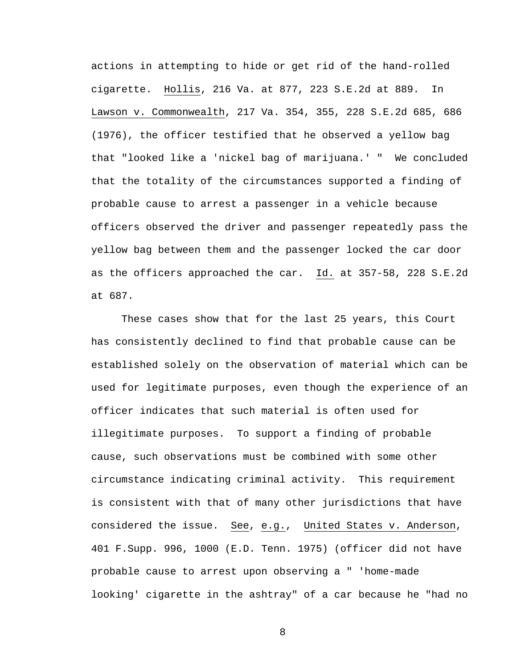actions in attempting to hide or get rid of the hand-rolled cigarette. Hollis, 216 Va. at 877, 223 S.E.2d at 889. In Lawson v. Commonwealth, 217 Va. 354, 355, 228 S.E.2d 685, 686 (1976), the officer testified that he observed a yellow bag that "looked like a 'nickel bag of marijuana.' " We concluded that the totality of the circumstances supported a finding of probable cause to arrest a passenger in a vehicle because officers observed the driver and passenger repeatedly pass the yellow bag between them and the passenger locked the car door as the officers approached the car. Id. at 357-58, 228 S.E.2d at 687.

These cases show that for the last 25 years, this Court has consistently declined to find that probable cause can be established solely on the observation of material which can be used for legitimate purposes, even though the experience of an officer indicates that such material is often used for illegitimate purposes. To support a finding of probable cause, such observations must be combined with some other circumstance indicating criminal activity. This requirement is consistent with that of many other jurisdictions that have considered the issue. See, e.g., United States v. Anderson, 401 F.Supp. 996, 1000 (E.D. Tenn. 1975) (officer did not have probable cause to arrest upon observing a " 'home-made looking' cigarette in the ashtray" of a car because he "had no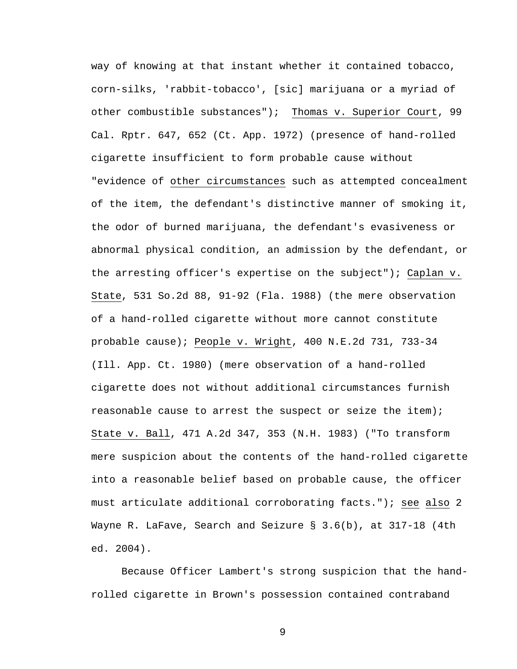way of knowing at that instant whether it contained tobacco, corn-silks, 'rabbit-tobacco', [sic] marijuana or a myriad of other combustible substances"); Thomas v. Superior Court, 99 Cal. Rptr. 647, 652 (Ct. App. 1972) (presence of hand-rolled cigarette insufficient to form probable cause without "evidence of other circumstances such as attempted concealment of the item, the defendant's distinctive manner of smoking it, the odor of burned marijuana, the defendant's evasiveness or abnormal physical condition, an admission by the defendant, or the arresting officer's expertise on the subject"); Caplan v. State, 531 So.2d 88, 91-92 (Fla. 1988) (the mere observation of a hand-rolled cigarette without more cannot constitute probable cause); People v. Wright, 400 N.E.2d 731, 733-34 (Ill. App. Ct. 1980) (mere observation of a hand-rolled cigarette does not without additional circumstances furnish reasonable cause to arrest the suspect or seize the item); State v. Ball, 471 A.2d 347, 353 (N.H. 1983) ("To transform mere suspicion about the contents of the hand-rolled cigarette into a reasonable belief based on probable cause, the officer must articulate additional corroborating facts."); see also 2 Wayne R. LaFave, Search and Seizure § 3.6(b), at 317-18 (4th ed. 2004).

Because Officer Lambert's strong suspicion that the handrolled cigarette in Brown's possession contained contraband